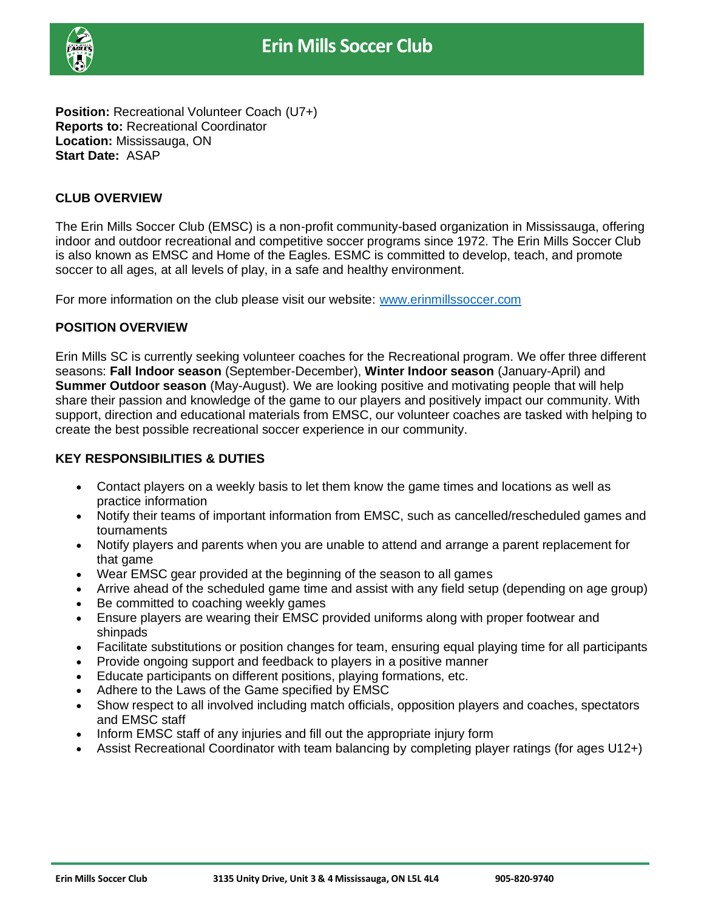

**Position:** Recreational Volunteer Coach (U7+) **Reports to:** Recreational Coordinator **Location:** Mississauga, ON **Start Date:** ASAP

# **CLUB OVERVIEW**

The Erin Mills Soccer Club (EMSC) is a non-profit community-based organization in Mississauga, offering indoor and outdoor recreational and competitive soccer programs since 1972. The Erin Mills Soccer Club is also known as EMSC and Home of the Eagles. ESMC is committed to develop, teach, and promote soccer to all ages, at all levels of play, in a safe and healthy environment.

For more information on the club please visit our website: [www.erinmillssoccer.com](http://www.erinmillssoccer.com/)

## **POSITION OVERVIEW**

Erin Mills SC is currently seeking volunteer coaches for the Recreational program. We offer three different seasons: **Fall Indoor season** (September-December), **Winter Indoor season** (January-April) and **Summer Outdoor season** (May-August). We are looking positive and motivating people that will help share their passion and knowledge of the game to our players and positively impact our community. With support, direction and educational materials from EMSC, our volunteer coaches are tasked with helping to create the best possible recreational soccer experience in our community.

## **KEY RESPONSIBILITIES & DUTIES**

- Contact players on a weekly basis to let them know the game times and locations as well as practice information
- Notify their teams of important information from EMSC, such as cancelled/rescheduled games and tournaments
- Notify players and parents when you are unable to attend and arrange a parent replacement for that game
- Wear EMSC gear provided at the beginning of the season to all games
- Arrive ahead of the scheduled game time and assist with any field setup (depending on age group)
- Be committed to coaching weekly games
- Ensure players are wearing their EMSC provided uniforms along with proper footwear and shinpads
- Facilitate substitutions or position changes for team, ensuring equal playing time for all participants
- Provide ongoing support and feedback to players in a positive manner
- Educate participants on different positions, playing formations, etc.
- Adhere to the Laws of the Game specified by EMSC
- Show respect to all involved including match officials, opposition players and coaches, spectators and EMSC staff
- Inform EMSC staff of any injuries and fill out the appropriate injury form
- Assist Recreational Coordinator with team balancing by completing player ratings (for ages U12+)